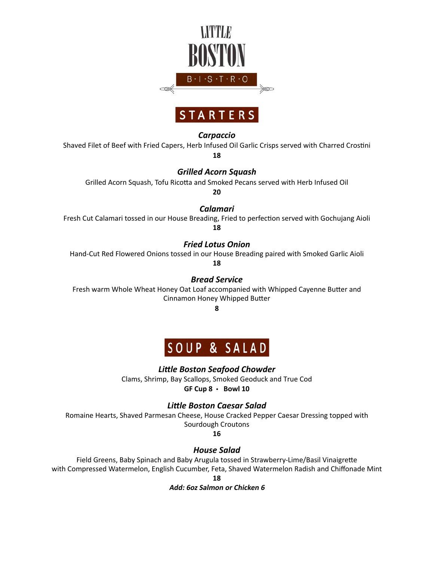



#### *Carpaccio*

Shaved Filet of Beef with Fried Capers, Herb Infused Oil Garlic Crisps served with Charred Crostini **18**

*Grilled Acorn Squash*

Grilled Acorn Squash, Tofu Ricotta and Smoked Pecans served with Herb Infused Oil

**20**

*Calamari*

Fresh Cut Calamari tossed in our House Breading, Fried to perfection served with Gochujang Aioli **18**

*Fried Lotus Onion*

Hand-Cut Red Flowered Onions tossed in our House Breading paired with Smoked Garlic Aioli

**18**

*Bread Service* 

Fresh warm Whole Wheat Honey Oat Loaf accompanied with Whipped Cayenne Butter and Cinnamon Honey Whipped Butter

**8**



### *Little Boston Seafood Chowder*

Clams, Shrimp, Bay Scallops, Smoked Geoduck and True Cod

**GF Cup 8** • **Bowl 10**

### *Little Boston Caesar Salad*

Romaine Hearts, Shaved Parmesan Cheese, House Cracked Pepper Caesar Dressing topped with Sourdough Croutons

**16**

### *House Salad*

Field Greens, Baby Spinach and Baby Arugula tossed in Strawberry-Lime/Basil Vinaigrette with Compressed Watermelon, English Cucumber, Feta, Shaved Watermelon Radish and Chiffonade Mint

**18**

**Add: 6oz Salmon or Chicken 6**